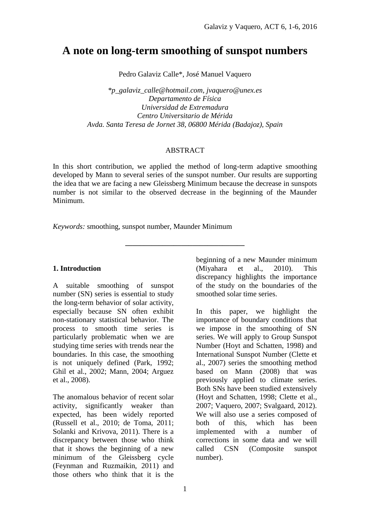# **A note on long-term smoothing of sunspot numbers**

Pedro Galaviz Calle\*, José Manuel Vaquero

*\*p\_galaviz\_calle@hotmail.com*, *jvaquero@unex.es Departamento de Física Universidad de Extremadura Centro Universitario de Mérida Avda. Santa Teresa de Jornet 38, 06800 Mérida (Badajoz), Spain*

## ABSTRACT

In this short contribution, we applied the method of long-term adaptive smoothing developed by Mann to several series of the sunspot number. Our results are supporting the idea that we are facing a new Gleissberg Minimum because the decrease in sunspots number is not similar to the observed decrease in the beginning of the Maunder Minimum.

**\_\_\_\_\_\_\_\_\_\_\_\_\_\_\_\_\_\_\_\_\_\_\_\_\_\_\_\_\_\_\_\_**

*Keywords:* smoothing, sunspot number, Maunder Minimum

# **1. Introduction**

A suitable smoothing of sunspot number (SN) series is essential to study the long-term behavior of solar activity, especially because SN often exhibit non-stationary statistical behavior. The process to smooth time series is particularly problematic when we are studying time series with trends near the boundaries. In this case, the smoothing is not uniquely defined (Park, 1992; Ghil et al., 2002; Mann, 2004; Arguez et al., 2008).

The anomalous behavior of recent solar activity, significantly weaker than expected, has been widely reported (Russell et al., 2010; de Toma, 2011; Solanki and Krivova, 2011). There is a discrepancy between those who think that it shows the beginning of a new minimum of the Gleissberg cycle (Feynman and Ruzmaikin, 2011) and those others who think that it is the

beginning of a new Maunder minimum (Miyahara et al., 2010). This discrepancy highlights the importance of the study on the boundaries of the smoothed solar time series.

In this paper, we highlight the importance of boundary conditions that we impose in the smoothing of SN series. We will apply to Group Sunspot Number (Hoyt and Schatten, 1998) and International Sunspot Number (Clette et al., 2007) series the smoothing method based on Mann (2008) that was previously applied to climate series. Both SNs have been studied extensively (Hoyt and Schatten, 1998; Clette et al., 2007; Vaquero, 2007; Svalgaard, 2012). We will also use a series composed of both of this, which has been implemented with a number of corrections in some data and we will called CSN (Composite sunspot number).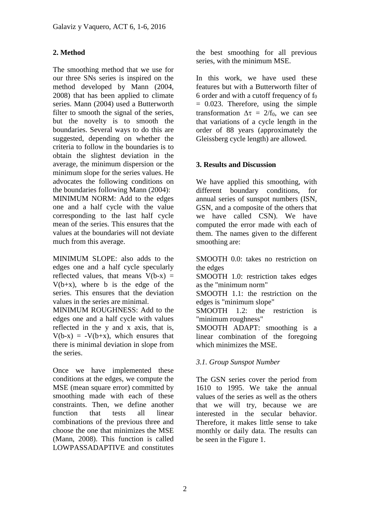# **2. Method**

The smoothing method that we use for our three SNs series is inspired on the method developed by Mann (2004, 2008) that has been applied to climate series. Mann (2004) used a Butterworth filter to smooth the signal of the series, but the novelty is to smooth the boundaries. Several ways to do this are suggested, depending on whether the criteria to follow in the boundaries is to obtain the slightest deviation in the average, the minimum dispersion or the minimum slope for the series values. He advocates the following conditions on the boundaries following Mann (2004):

MINIMUM NORM: Add to the edges one and a half cycle with the value corresponding to the last half cycle mean of the series. This ensures that the values at the boundaries will not deviate much from this average.

MINIMUM SLOPE: also adds to the edges one and a half cycle specularly reflected values, that means  $V(b-x)$  =  $V(b+x)$ , where b is the edge of the series. This ensures that the deviation values in the series are minimal.

MINIMUM ROUGHNESS: Add to the edges one and a half cycle with values reflected in the y and x axis, that is,  $V(b-x) = -V(b+x)$ , which ensures that there is minimal deviation in slope from the series.

Once we have implemented these conditions at the edges, we compute the MSE (mean square error) committed by smoothing made with each of these constraints. Then, we define another function that tests all linear combinations of the previous three and choose the one that minimizes the MSE (Mann, 2008). This function is called LOWPASSADAPTIVE and constitutes

the best smoothing for all previous series, with the minimum MSE.

In this work, we have used these features but with a Butterworth filter of 6 order and with a cutoff frequency of  $f_0$  $= 0.023$ . Therefore, using the simple transformation  $\Delta \tau = 2/f_0$ , we can see that variations of a cycle length in the order of 88 years (approximately the Gleissberg cycle length) are allowed.

# **3. Results and Discussion**

We have applied this smoothing, with different boundary conditions, for annual series of sunspot numbers (ISN, GSN, and a composite of the others that we have called CSN). We have computed the error made with each of them. The names given to the different smoothing are:

SMOOTH 0.0: takes no restriction on the edges

SMOOTH 1.0: restriction takes edges as the "minimum norm"

SMOOTH 1.1: the restriction on the edges is "minimum slope"

SMOOTH 1.2: the restriction is "minimum roughness"

SMOOTH ADAPT: smoothing is a linear combination of the foregoing which minimizes the MSE.

# *3.1. Group Sunspot Number*

The GSN series cover the period from 1610 to 1995. We take the annual values of the series as well as the others that we will try, because we are interested in the secular behavior. Therefore, it makes little sense to take monthly or daily data. The results can be seen in the Figure 1.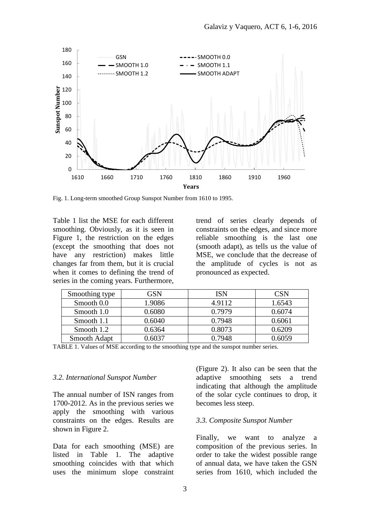

Fig. 1. Long-term smoothed Group Sunspot Number from 1610 to 1995.

Table 1 list the MSE for each different smoothing. Obviously, as it is seen in Figure 1, the restriction on the edges (except the smoothing that does not have any restriction) makes little changes far from them, but it is crucial when it comes to defining the trend of series in the coming years. Furthermore, trend of series clearly depends of constraints on the edges, and since more reliable smoothing is the last one (smooth adapt), as tells us the value of MSE, we conclude that the decrease of the amplitude of cycles is not as pronounced as expected.

| Smoothing type      | GSN    | ISN    | CSN    |
|---------------------|--------|--------|--------|
| Smooth 0.0          | 1.9086 | 4.9112 | 1.6543 |
| Smooth 1.0          | 0.6080 | 0.7979 | 0.6074 |
| Smooth 1.1          | 0.6040 | 0.7948 | 0.6061 |
| Smooth 1.2          | 0.6364 | 0.8073 | 0.6209 |
| <b>Smooth Adapt</b> | 0.6037 | 0.7948 | 0.6059 |

TABLE 1. Values of MSE according to the smoothing type and the sunspot number series.

#### *3.2. International Sunspot Number*

The annual number of ISN ranges from 1700-2012. As in the previous series we apply the smoothing with various constraints on the edges. Results are shown in Figure 2.

Data for each smoothing (MSE) are listed in Table 1. The adaptive smoothing coincides with that which uses the minimum slope constraint (Figure 2). It also can be seen that the adaptive smoothing sets a trend indicating that although the amplitude of the solar cycle continues to drop, it becomes less steep.

#### *3.3. Composite Sunspot Number*

Finally, we want to analyze a composition of the previous series. In order to take the widest possible range of annual data, we have taken the GSN series from 1610, which included the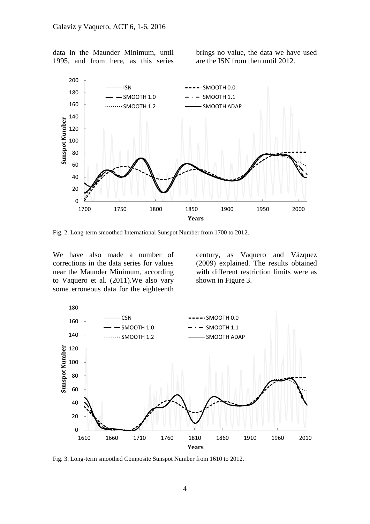data in the Maunder Minimum, until 1995, and from here, as this series brings no value, the data we have used are the ISN from then until 2012.



Fig. 2. Long-term smoothed International Sunspot Number from 1700 to 2012.

We have also made a number of corrections in the data series for values near the Maunder Minimum, according to Vaquero et al. (2011).We also vary some erroneous data for the eighteenth century, as Vaquero and Vázquez (2009) explained. The results obtained with different restriction limits were as shown in Figure 3.



Fig. 3. Long-term smoothed Composite Sunspot Number from 1610 to 2012.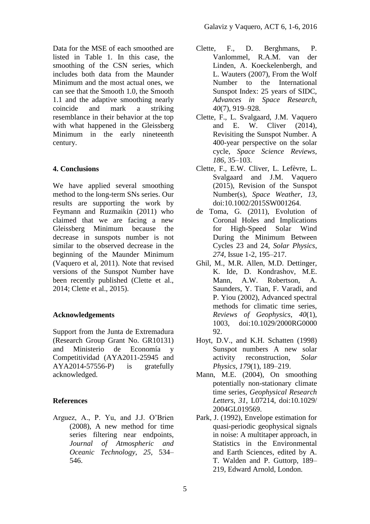Data for the MSE of each smoothed are listed in Table 1. In this case, the smoothing of the CSN series, which includes both data from the Maunder Minimum and the most actual ones, we can see that the Smooth 1.0, the Smooth 1.1 and the adaptive smoothing nearly coincide and mark a striking resemblance in their behavior at the top with what happened in the Gleissberg Minimum in the early nineteenth century.

## **4. Conclusions**

We have applied several smoothing method to the long-term SNs series. Our results are supporting the work by Feymann and Ruzmaikin (2011) who claimed that we are facing a new Gleissberg Minimum because the decrease in sunspots number is not similar to the observed decrease in the beginning of the Maunder Minimum (Vaquero et al, 2011). Note that revised versions of the Sunspot Number have been recently published (Clette et al., 2014; Clette et al., 2015).

## **Acknowledgements**

Support from the Junta de Extremadura (Research Group Grant No. GR10131) and Ministerio de Economía y Competitividad (AYA2011-25945 and AYA2014-57556-P) is gratefully acknowledged.

## **References**

Arguez, A., P. Yu, and J.J. O'Brien (2008), A new method for time series filtering near endpoints, *Journal of Atmospheric and Oceanic Technology*, *25*, 534– 546.

- Clette, F., D. Berghmans, P. Vanlommel, R.A.M. van der Linden, A. Koeckelenbergh, and L. Wauters (2007), From the Wolf Number to the International Sunspot Index: 25 years of SIDC, *Advances in Space Research*, *40*(7), 919–928.
- Clette, F., L. Svalgaard, J.M. Vaquero and E. W. Cliver (2014), Revisiting the Sunspot Number. A 400-year perspective on the solar cycle, *Space Science Reviews*, *186*, 35–103.
- Clette, F., E.W. Cliver, L. Lefèvre, L. Svalgaard and J.M. Vaquero (2015), Revision of the Sunspot Number(s), *Space Weather*, *13*, doi:10.1002/2015SW001264.
- de Toma, G. (2011), Evolution of Coronal Holes and Implications for High-Speed Solar Wind During the Minimum Between Cycles 23 and 24, *Solar Physics*, *274*, Issue 1-2, 195–217.
- Ghil, M., M.R. Allen, M.D. Dettinger, K. Ide, D. Kondrashov, M.E. Mann, A.W. Robertson, A. Saunders, Y. Tian, F. Varadi, and P. Yiou (2002), Advanced spectral methods for climatic time series, *Reviews of Geophysics*, *40*(1), 1003, doi:10.1029/2000RG0000 92.
- Hoyt, D.V., and K.H. Schatten (1998) Sunspot numbers A new solar activity reconstruction, *Solar Physics*, *179*(1), 189–219.
- Mann, M.E. (2004), On smoothing potentially non-stationary climate time series, *Geophysical Research Letters*, *31*, L07214, doi:10.1029/ 2004GL019569.
- Park, J. (1992), Envelope estimation for quasi-periodic geophysical signals in noise: A multitaper approach, in Statistics in the Environmental and Earth Sciences, edited by A. T. Walden and P. Guttorp, 189– 219, Edward Arnold, London.